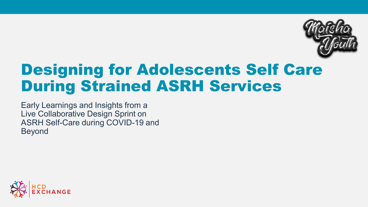

# Designing for Adolescents Self Care During Strained ASRH Services

Early Learnings and Insights from a Live Collaborative Design Sprint on ASRH Self-Care during COVID-19 and Beyond

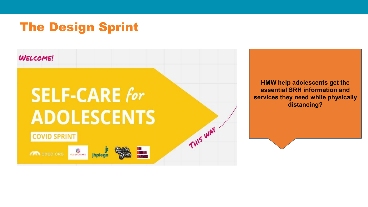### The Design Sprint



**HMW help adolescents get the essential SRH information and services they need while physically distancing?**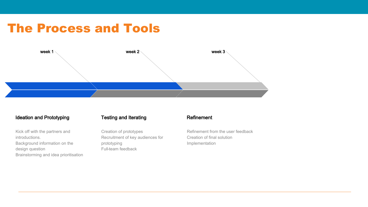### The Process and Tools



#### Ideation and Prototyping

Kick off with the partners and introductions. Background information on the design question Brainstorming and idea prioritisation

#### Testing and Iterating

Creation of prototypes Recruitment of key audiences for prototyping Full-team feedback

#### Refinement

Refinement from the user feedback Creation of final solution Implementation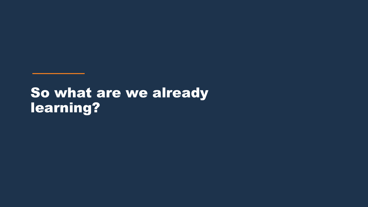# So what are we already learning?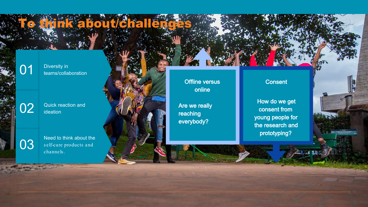**O1** Diversity in<br>**O1** teams/collaboration

**02** Quick reaction and ideation

Need to think about the self-care products and channels . 03

ta bout/challe

Offline versus online

Are we really reaching everybody?

### **Consent**

How do we get consent from young people for the research and prototyping?

2 后放时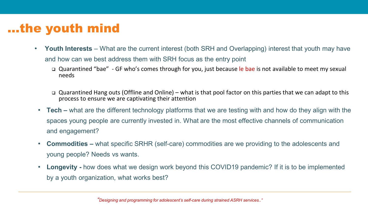# …the youth mind

- **Youth Interests**  What are the current interest (both SRH and Overlapping) interest that youth may have and how can we best address them with SRH focus as the entry point
	- □ Quarantined "bae" GF who's comes through for you, just because le bae is not available to meet my sexual needs
	- Quarantined Hang outs (Offline and Online) what is that pool factor on this parties that we can adapt to this process to ensure we are captivating their attention
	- **Tech –** what are the different technology platforms that we are testing with and how do they align with the spaces young people are currently invested in. What are the most effective channels of communication and engagement?
- **Commodities –** what specific SRHR (self-care) commodities are we providing to the adolescents and young people? Needs vs wants.
- **Longevity** how does what we design work beyond this COVID19 pandemic? If it is to be implemented by a youth organization, what works best?